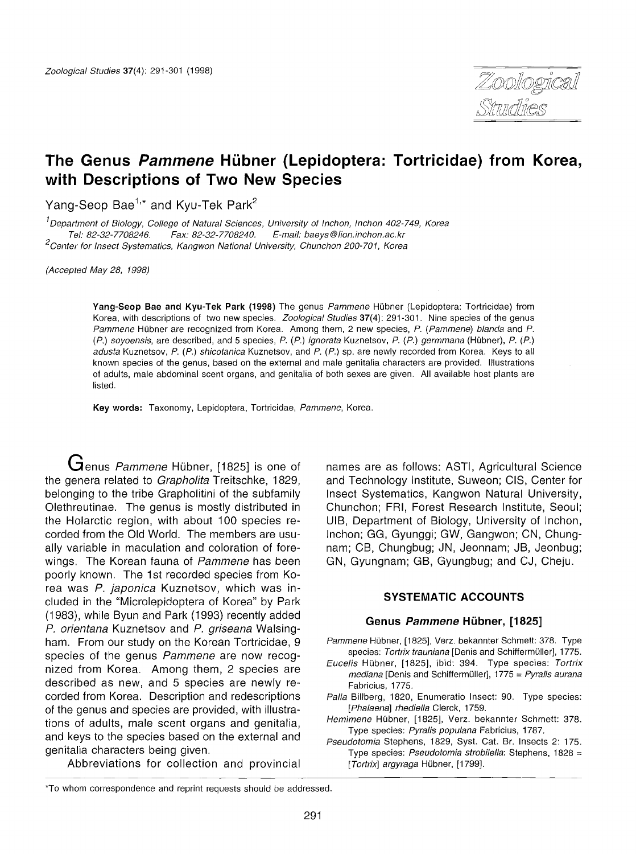

# **The Genus Pammene Hubner (Lepidoptera: Tortricidae) from Korea, with Descriptions of Two New Species**

Yang-Seop Bae<sup>1,</sup>\* and Kyu-Tek Park<sup>2</sup>

 $1$ Department of Biology, College of Natural Sciences, University of Inchon, Inchon 402-749, Korea Tel: 82-32-7708246. Fax: 82-32-7708240. E-mail: baeys@lion.inchon.ac.kr <sup>2</sup>Center for Insect Systematics, Kangwon National University, Chunchon 200-701, Korea

(Accepted May 28, 1998)

Yang-Seop Bae and Kyu-Tek Park (1998) The genus Pammene Hübner (Lepidoptera: Tortricidae) from Korea, with descriptions of two new species. Zoological Studies 37(4): 291-301. Nine species of the genus Pammene Hübner are recognized from Korea. Among them, 2 new species, P. (Pammene) blanda and P. (P.) soyoensis, are described, and 5 species, P. (P.) ignorata Kuznetsov, P. (P.) germmana (Hubner), P. (P.) adusta Kuznetsov, P. (P.) shicotanica Kuznetsov, and P. (P.) sp. are newly recorded from Korea. Keys to all known species of the genus, based on the external and male genitalia characters are provided. Illustrations of adults, male abdominal scent organs, and genitalia of both sexes are given. All available host plants are listed.

Key words: Taxonomy, Lepidoptera, Tortricidae, Pammene, Korea.

Genus Pammene Hübner, [1825] is one of the genera related to Grapholita Treitschke, 1829. belonging to the tribe Grapholitini of the subfamily Olethreutinae. The genus is mostly distributed in the Holarctic region, with about 100 species recorded from the Old World. The members are usually variable in maculation and coloration of forewings. The Korean fauna of Pammene has been poorly known. The 1st recorded species from Korea was P. japonica Kuznetsov, which was included in the "Microlepidoptera of Korea" by Park (1983), while Byun and Park (1993) recently added P. orientana Kuznetsov and P. griseana Walsingham. From our study on the Korean Tortricidae, 9 species of the genus Pammene are now recognized from Korea. Among them, 2 species are described as new, and 5 species are newly recorded from Korea. Description and redescriptions of the genus and species are provided, with illustrations of adults, male scent organs and genitalia, and keys to the species based on the external and genitalia characters being given.

Abbreviations for collection and provincial

names are as follows: ASTI, Agricultural Science and Technology Institute, Suweon; CIS, Center for Insect Systematics, Kangwon Natural University, Chunchon; FRI, Forest Research Institute, Seoul; UIB, Department of Biology, University of Inchon, Inchon; GG, Gyunggi; GW, Gangwon; CN, Chungnam; CB, Chungbug; IN, Jeonnam; JB, Jeonbug; GN, Gyungnam; GB, Gyungbug; and CJ, Cheju.

#### **SYSTEMATIC ACCOUNTS**

#### **Genus Pammene Hubner, [1825]**

- Pammene Hübner, [1825], Verz. bekannter Schmett: 378. Type species: Tortrix trauniana [Denis and Schiffermüller], 1775.
- Eucelis Hubner, [1825], ibid: 394. Type species: Tortrix  $mediana$  [Denis and Schiffermüller], 1775 = Pyralis aurana Fabricius, 1775.
- Palla Billberg, 1820, Enumeratio Insect: 90. Type species: [Phalaena] rhediella Clerck, 1759.
- Hemimene Hübner, [1825], Verz. bekannter Schmett: 378. Type species: Pyralis populana Fabricius, 1787.
- Pseudotomia Stephens, 1829, Syst. Cat. Br. Insects 2: 175. Type species: Pseudotomia strobilella: Stephens, 1828 = [Tortrix] argyraga Hübner, [1799].

<sup>&#</sup>x27;To whom correspondence and reprint requests should be addressed.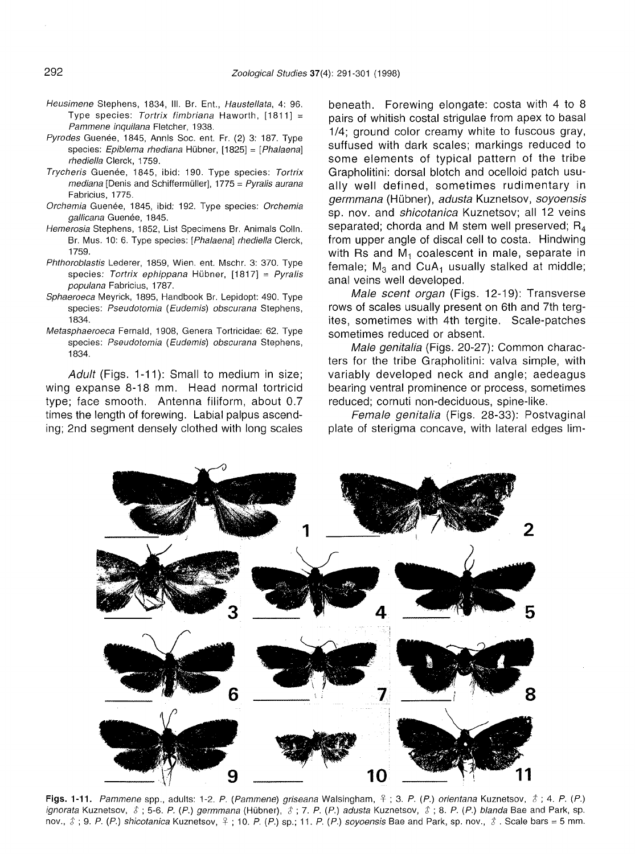- Heusimene Stephens, 1834, III. Br. Ent., Haustellata, 4: 96. Type species: Tortrix fimbriana Haworth,  $[1811] =$ Pammene inquilana Fletcher, 1938.
- Pyrodes Guenée, 1845, Annis Soc. ent. Fr. (2) 3: 187. Type species: Epiblema rhediana Hübner, [1825] = [Phalaena] rhediella Clerck, 1759.
- Trycheris Guenée, 1845, ibid: 190. Type species: Tortrix  $mediana$  [Denis and Schiffermüller], 1775 = Pyralis aurana Fabricius, 1775.
- Orchemia Guenée, 1845, ibid: 192. Type species: Orchemia gallicana Guenée, 1845.
- Hemerosia Stephens, 1852, List Specimens Br. Animals Colin. Br. Mus. 10: 6. Type species: [Phalaena] rhediella Clerck, 1759.
- Phthoroblastis Lederer, 1859, Wien. ent. Mschr. 3: 370. Type species: Tortrix ephippana Hübner,  $[1817] = Pyralis$ populana Fabricius, 1787.
- Sphaeroeca Meyrick, 1895, Handbook Br. Lepidopt: 490. Type species: Pseudotomia (Eudemis) obscurana Stephens, 1834.
- Metasphaeroeca Fernald, 1908, Genera Tortricidae: 62. Type species: Pseudotomia (Eudemis) obscurana Stephens, 1834.

Adult (Figs. 1-11): Small to medium in size; wing expanse 8-18 mm. Head normal tortricid type; face smooth. Antenna filiform, about 0.7 times the length of forewing. Labial palpus ascending; 2nd segment densely clothed with long scales beneath. Forewing elongate: costa with 4 to 8 pairs of whitish costal strigulae from apex to basal 1/4; ground color creamy white to fuscous gray, suffused with dark scales; markings reduced to some elements of typical pattern of the tribe Grapholitini: dorsal blotch and ocelloid patch usually well defined, sometimes rudimentary in germmana (Hubner), adusta Kuznetsov, soyoensis sp. nov. and *shicotanica* Kuznetsov; all 12 veins separated; chorda and M stem well preserved;  $R_4$ from upper angle of discal cell to costa. Hindwing with Rs and  $M_1$  coalescent in male, separate in female;  $M_3$  and CuA<sub>1</sub> usually stalked at middle; anal veins well developed.

Male scent organ (Figs. 12-19): Transverse rows of scales usually present on 6th and 7th tergites, sometimes with 4th tergite. Scale-patches sometimes reduced or absent.

Male genitalia (Figs. 20-27): Common characters for the tribe Grapholitini: valva simple, with variably developed neck and angle; aedeagus bearing ventral prominence or process, sometimes reduced; cornuti non-deciduous, spine-like.

Female genitalia (Figs. 28-33): Postvaginal plate of sterigma concave, with lateral edges Iim-



Figs. 1-11. Pammene spp., adults: 1-2. P. (Pammene) griseana Walsingham,  $\frac{1}{7}$ ; 3. P. (P.) orientana Kuznetsov,  $\hat{s}$ ; 4. P. (P.) ignorata Kuznetsov,  $\hat{s}$ ; 5-6. P. (P.) germmana (Hübner),  $\hat{s}$ ; 7. P. (P.) adusta Kuznetsov,  $\hat{s}$ ; 8. P. (P.) blanda Bae and Park, sp. nov.,  $\hat{s}$ ; 9. P. (P.) shicotanica Kuznetsov,  $\hat{s}$ ; 10. P. (P.) sp.; 11. P. (P.) soyoensis Bae and Park, sp. nov.,  $\hat{s}$ . Scale bars = 5 mm.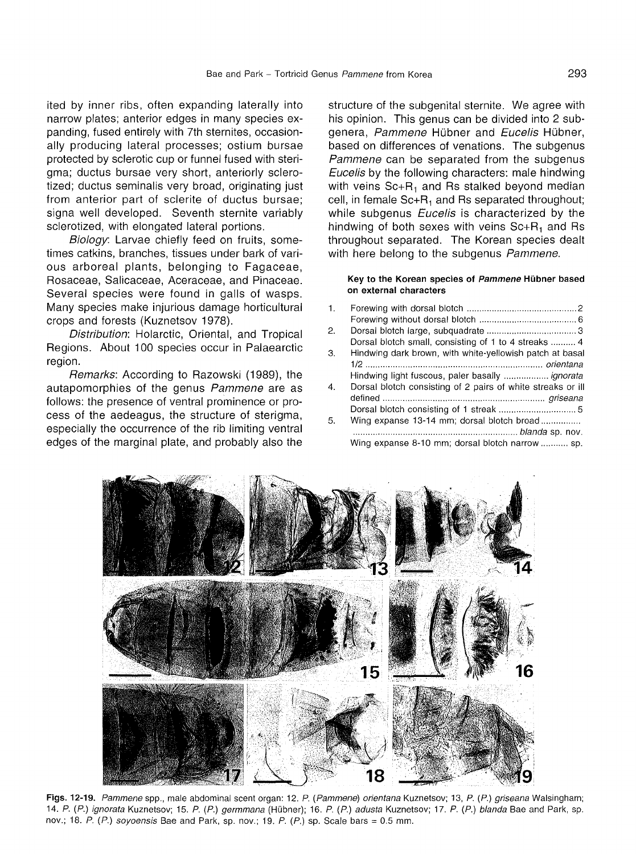ited by inner ribs, often expanding laterally into narrow plates; anterior edges in many species expanding, fused entirely with 7th sternites, occasionally producing lateral processes; ostium bursae protected by sclerotic cup or funnel fused with sterigma; ductus bursae very short, anteriorly sclerotized; ductus seminalis very broad, originating just from anterior part of sclerite of ductus bursae; signa well developed. Seventh sternite variably sclerotized, with elongated lateral portions.

Biology: Larvae chiefly feed on fruits, sometimes catkins, branches, tissues under bark of various arboreal plants, belonging to Fagaceae, Rosaceae, Salicaceae, Aceraceae, and Pinaceae. Several species were found in galls of wasps. Many species make injurious damage horticultural crops and forests (Kuznetsov 1978).

Distribution: Holarctic, Oriental, and Tropical Regions. About 100 species occur in Palaearctic region.

Remarks: According to Razowski (1989), the autapomorphies of the genus Pammene are as follows: the presence of ventral prominence or process of the aedeagus, the structure of sterigma, especially the occurrence of the rib limiting ventral edges of the marginal plate, and probably also the

structure of the subgenital sternite. We agree with his opinion. This genus can be divided into 2 subgenera, Pammene Hübner and Eucelis Hübner, based on differences of venations. The subgenus Pammene can be separated from the subgenus Eucelis by the following characters: male hindwing with veins  $Sc+R_1$  and Rs stalked beyond median cell, in female  $Sc+R_1$  and Rs separated throughout; while subgenus Eucelis is characterized by the hindwing of both sexes with veins  $Sc+R_1$  and Rs throuqhout separated. The Korean species dealt with here belong to the subgenus Pammene.

#### Key to the Korean species of Pammene Hubner based on external characters

1. Forewing with dorsal blotch 2 Forewing without dorsal blotch 6 2. Dorsal blotch large, subquadrate 3 Dorsal blotch small, consisting of 1 to 4 streaks ......... 4 3. Hindwing dark brown, with white-yellowish patch at basal 1/2 orientana Hindwing light fuscous, paler basally ................. ignorata 4. Dorsal blotch consisting of 2 pairs of white streaks or ill defined griseana Dorsal blotch consisting of 1 streak 5 5. Wing expanse 13-14 mm; dorsal blotch broad .. .................................................................. blanda sp. nov. Wing expanse 8-10 mm; dorsal blotch narrow ........... sp.



Figs. 12-19. Pammene spp., male abdominal scent organ: 12. P. (Pammene) orientana Kuznetsov; 13, P. (P.) griseana Walsingham; 14. P. (P.) ignorata Kuznetsov; 15. P. (P.) germmana (Hübner); 16. P. (P.) adusta Kuznetsov; 17. P. (P.) blanda Bae and Park, sp. nov.; 18. P.  $(P)$  soyoensis Bae and Park, sp. nov.; 19. P.  $(P)$  sp. Scale bars = 0.5 mm.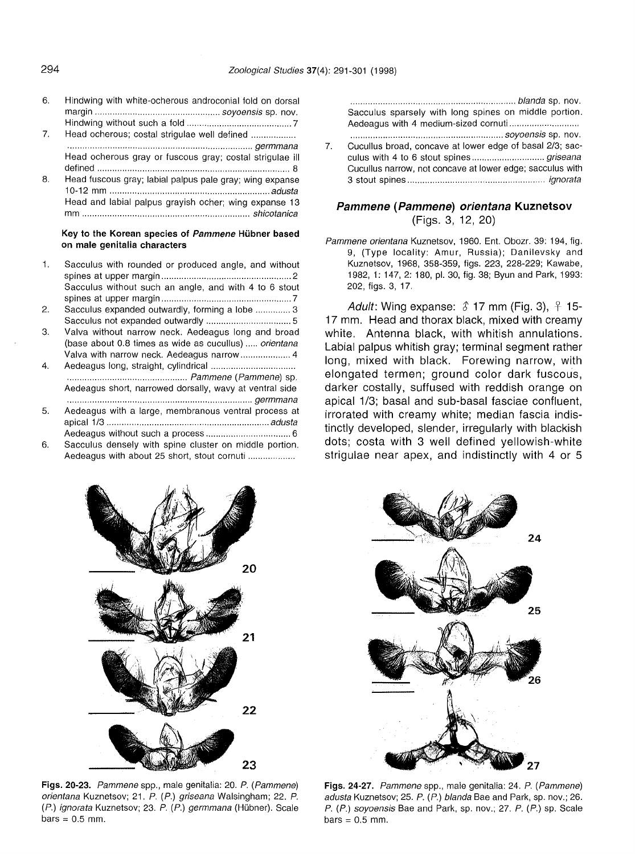- 6. Hindwing with white-ocherous androconial fold on dorsal margin soyoensis sp. nov. Hindwing without such a fold  $\ldots$ ,  $\ldots$ ,  $\ldots$ ,  $\ldots$ ,  $\ldots$ ,  $\ldots$ ,  $\ldots$ ,  $\ldots$ ,  $\ldots$ ,  $\ldots$ ,  $\ldots$ ,  $\ldots$ ,  $\ldots$ ,  $\ldots$ ,  $\ldots$ ,  $\ldots$ ,  $\ldots$ ,  $\ldots$ ,  $\ldots$ ,  $\ldots$ ,  $\ldots$ ,  $\ldots$ ,  $\ldots$ ,  $\ldots$ ,  $\ldots$ ,  $\ldots$ ,  $\ldots$ ,  $\ld$
- 7. Head ocherous; costal strigulae well defined .. .......................................................................... germmana Head ocherous gray or fuscous gray; costal strigulae ill defined 8
- 8. Head fuscous gray; labial palpus pale gray; wing expanse 10-12 mm adusta Head and labial palpus grayish ocher; wing expanse 13 mm shicotanica

#### Key to the Korean species of Pammene Hübner based on male genitalia characters

- 1. Sacculus with rounded or produced angle, and without spines at upper margin 2 Sacculus without such an angle, and with 4 to 6 stout spines at upper margin 7
- 2. Sacculus expanded outwardly, forming a lobe ............. 3 Sacculus not expanded outwardly 5
- 3. Valva without narrow neck. Aedeagus long and broad (base about  $0.8$  times as wide as cucullus)  $\ldots$  orientana Valva with narrow neck. Aedeagus narrow .................... 4
- 4. Aedeagus long, straight, cylindrical . ................................................ Pammene (Pammene) sp. Aedeagus short, narrowed dorsally, wavy at ventral side .......................................................................... germmana
- 5. Aedeagus with a large, membranous ventral process at apical 1/3 adusta Aedeagus without such a process 6
- 6. Sacculus densely with spine cluster on middle portion. Aedeagus with about 25 short, stout cornuti ..

.................................................................. blanda sp. nov. Sacculus sparsely with long spines on middle portion. Aedeagus with 4 medium-sized cornuti .. . soyoensis sp. nov.

7. Cucullus broad, concave at lower edge of basal 2/3; sacculus with 4 to 6 stout spines griseana Cucullus narrow, not concave at lower edge; sacculus with 3 stout spines ignorata

## **Pammene (Pammene) orientana Kuznetsov** (Figs. 3, 12, 20)

Pammene orientana Kuznetsov, 1960. Ent. Obozr. 39: 194, fig. 9, (Type locality: Amur, Russia); Danilevsky and Kuznetsov, 1968, 358-359, figs. 223, 228-229; Kawabe, 1982, 1: 147, 2: 180, pI. 30, fig. 38; Byun and Park, 1993: 202, figs. 3, 17.

Adult: Wing expanse:  $\hat{\delta}$  17 mm (Fig. 3),  $\hat{\beta}$  15-17 mm. Head and thorax black, mixed with creamy white. Antenna black, with whitish annulations. Labial palpus whitish gray; terminal segment rather long, mixed with black. Forewing narrow, with elongated termen; ground color dark fuscous, darker costally, suffused with reddish orange on apical 1/3; basal and sub-basal fasciae confluent, irrorated with creamy white; median fascia indistinctly developed, slender, irregularly with blackish dots; costa with 3 well defined yellowish-white strigulae near apex, and indistinctly with 4 or 5





Figs. 20-23. Pammene spp., male genitalia: 20. P. (Pammene) orientana Kuznetsov; 21. P. (P.) griseana Walsingham; 22. P. (P.) ignorata Kuznetsov; 23. P. (P.) germmana (Hübner). Scale  $bars = 0.5$  mm.

Figs. 24-27. Pammene spp., male genitalia: 24. P. (Pammene) adusta Kuznetsov; 25. P. (P.) blanda Bae and Park, sp. nov.; 26. P. (P.) soyoensis Bae and Park, sp. nov.; 27. P. (P.) sp. Scale  $bars = 0.5$  mm.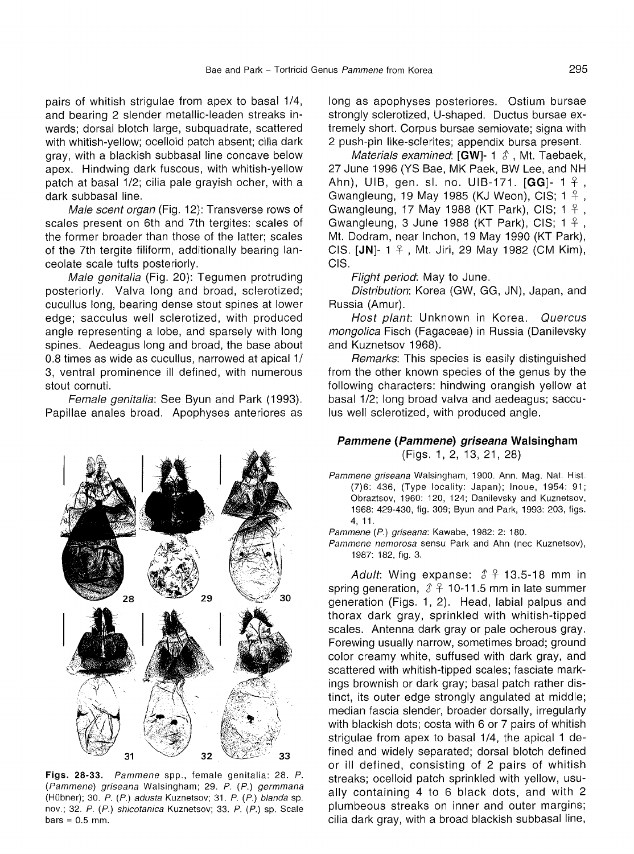pairs of whitish strigulae from apex to basal 1/4, and bearing 2 slender metallic-leaden streaks inwards; dorsal blotch large, subquadrate, scattered with whitish-yellow; ocelloid patch absent; cilia dark gray, with a blackish subbasal line concave below apex. Hindwing dark fuscous, with whitish-yellow patch at basal 1/2; cilia pale grayish ocher, with a dark subbasal line.

Male scent organ (Fig. 12): Transverse rows of scales present on 6th and 7th tergites: scales of the former broader than those of the latter; scales of the 7th tergite filiform, additionally bearing lanceolate scale tufts posteriorly.

Male genitalia (Fig. 20): Tegumen protruding posteriorly. Valva long and broad, sclerotized; cucullus long, bearing dense stout spines at lower edge; sacculus well sclerotized, with produced angle representing a lobe, and sparsely with long spines. Aedeagus long and broad, the base about 0.8 times as wide as cucullus, narrowed at apical 1/ 3, ventral prominence ill defined, with numerous stout cornuti.

Female genitalia: See Byun and Park (1993). Papillae anales broad. Apophyses anteriores as



Figs. 28-33. Pammene spp., female genitalia: 28. P. (Pammene) griseana Walsingham; 29. P. (P.) germmana (Hubner); 30. P. (P.) adusta Kuznetsov; 31. P. (P.) blanda sp. nov.; 32. P. (P.) shicotanica Kuznetsov; 33. P. (P.) sp. Scale  $bars = 0.5$  mm.

long as apophyses posteriores. Ostium bursae strongly sclerotized, U-shaped. Ductus bursae extremely short. Corpus bursae semiovate; signa with 2 push-pin Iike-sclerites; appendix bursa present.

Materials examined: [GW]- 1  $\hat{\delta}$ , Mt. Taebaek, 27 June 1996 (YS Bae, MK Paek, BW Lee, and NH Ahn), UIB, gen. sl. no. UIB-171.  $[GG]$ - 1  $\frac{6}{7}$ , Gwangleung, 19 May 1985 (KJ Weon), CIS;  $1 \nmid ?$ , Gwangleung, 17 May 1988 (KT Park), CIS;  $1 \nmid ?$ Gwangleung, 3 June 1988 (KT Park), CIS;  $1 \nmid ?$ , Mt. Dodram, near Inchon, 19 May 1990 (KT Park), CIS. [JN]-  $1 \nless$ , Mt. Jiri, 29 May 1982 (CM Kim), CIS.

Flight period: May to June.

Distribution: Korea (GW, GG, IN), Japan, and Russia (Amur).

Host plant: Unknown in Korea. Quercus mongolica Fisch (Fagaceae) in Russia (Danilevsky and Kuznetsov 1968).

Remarks: This species is easily distinguished from the other known species of the genus by the following characters: hindwing orangish yellow at basal 1/2; long broad valva and aedeagus; sacculus well sclerotized, with produced angle.

#### **Pammene (Pammene) griseana Walsingham** (Figs. 1, 2, 13, 21, 28)

Pammene griseana Walsingham, 1900. Ann. Mag. Nat. Hist. (7)6: 436, (Type locality: Japan); Inoue, 1954: 91; Obraztsov, 1960: 120, 124; Danilevsky and Kuznetsov, 1968: 429-430, fig. 309; Byun and Park, 1993: 203, figs. 4, 11.

Pammene (P.) griseana: Kawabe, 1982: 2: 180.

Pammene nemorosa sensu Park and Ahn (nec Kuznetsov), 1987: 182, fig. 3.

Adult: Wing expanse:  $\hat{\delta}$   $\hat{\gamma}$  13.5-18 mm in spring generation,  $\hat{\delta}$   $\hat{\gamma}$  10-11.5 mm in late summer generation (Figs. 1, 2). Head, labial palpus and thorax dark gray, sprinkled with whitish-tipped scales. Antenna dark gray or pale ocherous gray. Forewing usually narrow, sometimes broad; ground color creamy white, suffused with dark gray, and scattered with whitish-tipped scales; fasciate markings brownish or dark gray; basal patch rather distinct, its outer edge strongly angulated at middle; median fascia slender, broader dorsally, irregularly with blackish dots; costa with 6 or 7 pairs of whitish strigulae from apex to basal 1/4, the apical 1 defined and widely separated; dorsal blotch defined or ill defined, consisting of 2 pairs of whitish streaks; ocelloid patch sprinkled with yellow, usually containing 4 to 6 black dots, and with 2 plumbeous streaks on inner and outer margins; cilia dark gray, with a broad blackish subbasal line,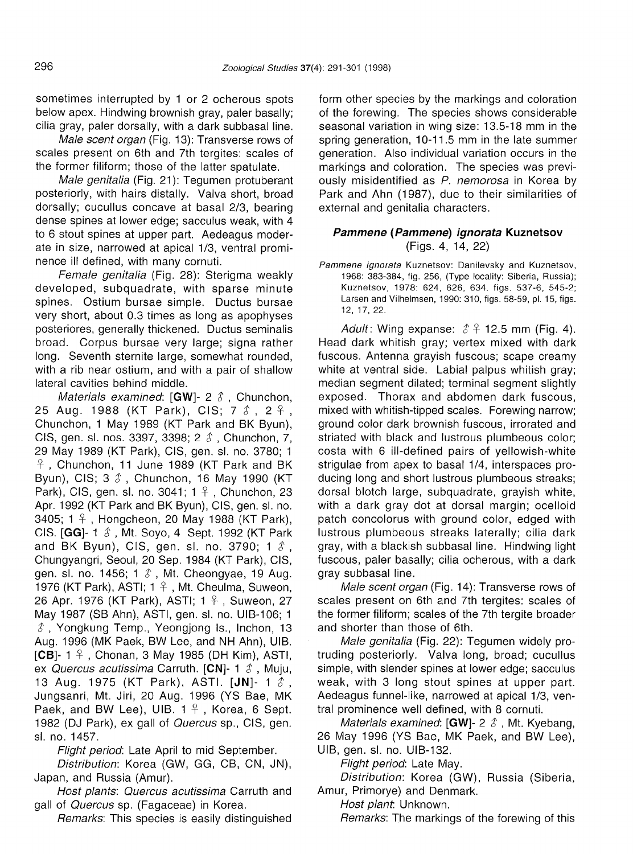sometimes interrupted by 1 or 2 ocherous spots below apex. Hindwing brownish gray, paler basally; cilia gray, paler dorsally, with a dark subbasal line.

Male scent organ (Fig. 13): Transverse rows of scales present on 6th and 7th tergites: scales of the former filiform; those of the latter spatulate.

Male genitalia (Fig. 21): Tegumen protuberant posteriorly, with hairs distally. Valva short, broad dorsally; cucullus concave at basal 2/3, bearing dense spines at lower edge; sacculus weak, with 4 to 6 stout spines at upper part. Aedeagus moderate in size, narrowed at apical 1/3, ventral prominence ill defined, with many cornuti.

Female genitalia (Fig. 28): Sterigma weakly developed, subquadrate, with sparse minute spines. Ostium bursae simple. Ductus bursae very short, about 0.3 times as long as apophyses posteriores, generally thickened. Ductus seminalis broad. Corpus bursae very large; signa rather long. Seventh sternite large, somewhat rounded, with a rib near ostium, and with a pair of shallow lateral cavities behind middle.

Materials examined: [GW]- 2  $\delta$ , Chunchon, 25 Aug. 1988 (KT Park), CIS; 7  $\text{\AA}$ , 2  $\text{\AA}$ , Chunchon, 1 May 1989 (KT Park and BK Byun), CIS, gen. sl. nos. 3397, 3398; 2 *t* , Chunchon, 7, 29 May 1989 (KT Park), CIS, gen. sl. no. 3780; 1 , Chunchon, 11 June 1989 (KT Park and BK Byun), CIS; 3 *t* , Chunchon, 16 May 1990 (KT Park), CIS, gen. sl. no. 3041;  $1 \nvert 2$ , Chunchon, 23 Apr. 1992 (KT Park and BK Byun), CIS, gen. sl. no. 3405;  $1 \nless$ , Hongcheon, 20 May 1988 (KT Park), CIS. [GG]- 1 *s ,* Mt. Soyo, 4 Sept. 1992 (KT Park and BK Byun), CIS, gen. sl. no. 3790; 1  $\ell$ , Chungyangri, Seoul, 20 Sep. 1984 (KT Park), CIS, gen. sl. no. 1456; 1  $\delta$ , Mt. Cheongyae, 19 Aug. 1976 (KT Park), ASTI;  $1 \nvert 2$ , Mt. Cheulma, Suweon, 26 Apr. 1976 (KT Park), ASTI; 1  $\frac{1}{7}$ , Suweon, 27 May 1987 (SB Ahn), ASTI, gen. sl. no. UIB-106; 1 *t* , Yongkung Temp., Yeongjong Is., Inchon, 13 Aug. 1996 (MK Paek, BW Lee, and NH Ahn), UIB. [CB]- 1  $\frac{1}{7}$ , Chonan, 3 May 1985 (DH Kim), ASTI, ex Quercus acutissima Carruth. [CN]- 1  $\hat{\delta}$ , Muju, <sup>13</sup> Aug. <sup>1975</sup> (KT Park), ASTI. [IN]- <sup>1</sup> *s .* Jungsanri, Mt. Jiri, 20 Aug. 1996 (YS Bae, MK Paek, and BW Lee), UIB.  $1 \nmid$ , Korea, 6 Sept. 1982 (DJ Park), ex gall of *Quercus* sp., CIS, gen. sl. no. 1457.

Flight period: Late April to mid September.

Distribution: Korea (GW, GG, CB, CN, IN), Japan, and Russia (Amur).

Host plants: Quercus acutissima Carruth and gall of Quercus sp. (Fagaceae) in Korea.

Remarks: This species is easily distinguished

form other species by the markings and coloration of the forewing. The species shows considerable seasonal variation in wing size: 13.5-18 mm in the spring generation, 10-11.5 mm in the late summer generation. Also individual variation occurs in the markings and coloration. The species was previously misidentified as P. nemorosa in Korea by Park and Ahn (1987), due to their similarities of external and genitalia characters.

## Pammene (Pammene) ignorata Kuznetsov (Figs. 4, 14, 22)

Pammene ignorata Kuznetsov: Danilevsky and Kuznetsov, 1968: 383-384, fig. 256, (Type locality: Siberia, Russia); Kuznetsov, 1978: 624, 626, 634. figs. 537-6, 545-2; Larsen and Vilhelmsen, 1990: 310, figs. 58-59, pI. 15, figs. 12, 17,22.

Adult: Wing expanse:  $\hat{\delta}$   $\hat{\gamma}$  12.5 mm (Fig. 4). Head dark whitish gray; vertex mixed with dark fuscous. Antenna grayish fuscous; scape creamy white at ventral side. Labial palpus whitish gray; median segment dilated; terminal segment slightly exposed. Thorax and abdomen dark fuscous, mixed with whitish-tipped scales. Forewing narrow; ground color dark brownish fuscous, irrorated and striated with black and lustrous plumbeous color; costa with 6 ill-defined pairs of yellowish-white strigulae from apex to basal 1/4, interspaces producing long and short lustrous plumbeous streaks; dorsal blotch large, subquadrate, grayish white, with a dark gray dot at dorsal margin; ocelloid patch concolorus with ground color, edged with lustrous plumbeous streaks laterally; cilia dark gray, with a blackish subbasal line. Hindwing light fuscous, paler basally; cilia ocherous, with a dark gray subbasal line.

Male scent organ (Fig. 14): Transverse rows of scales present on 6th and 7th tergites: scales of the former filiform; scales of the 7th tergite broader and shorter than those of 6th.

Male genitalia (Fig. 22): Tegumen widely protruding posteriorly. Valva long, broad; cucullus simple, with slender spines at lower edge; sacculus weak, with 3 long stout spines at upper part. Aedeagus funnel-like, narrowed at apical 1/3, ventral prominence well defined, with 8 cornuti.

Materials examined: [GW]- 2  $\delta$ , Mt. Kyebang, 26 May 1996 (YS Bae, MK Paek, and BW Lee), UIB, gen. sl. no. UIB-132.

Flight period: Late May.

Distribution: Korea (GW), Russia (Siberia, Amur, Primorye) and Denmark.

Host plant: Unknown.

Remarks: The markings of the forewing of this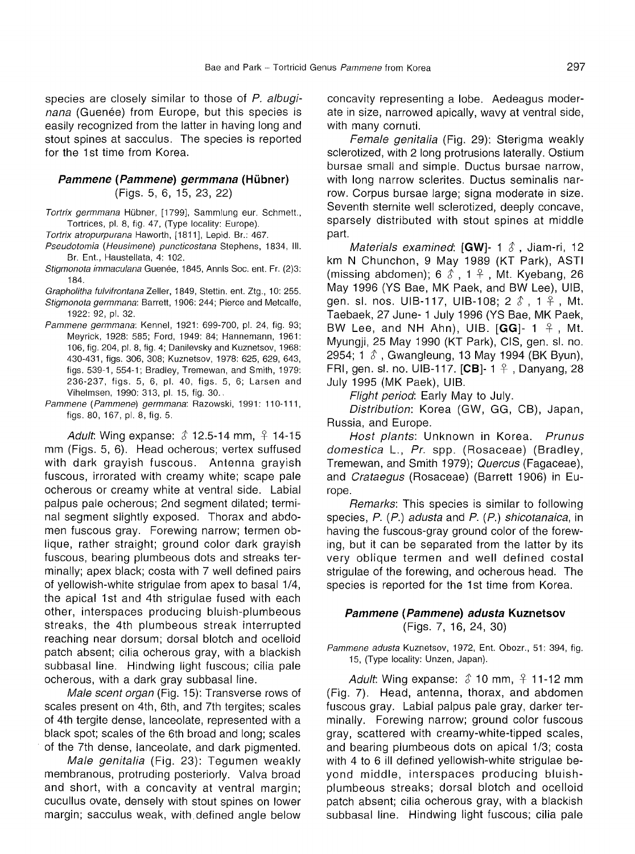species are closely similar to those of P. albuginana (Guenée) from Europe, but this species is easily recognized from the latter in having long and stout spines at sacculus. The species is reported for the 1st time from Korea.

## **Pammene (Pammene)** germmana (Hubner) (Figs. 5, 6, 15, 23, 22)

Tortrix germmana Hübner, [1799], Sammlung eur. Schmett., Tortrices, pI. 8, fig. 47, (Type locality: Europe).

Tortrix atropurpurana Haworth, [1811], Lepid. Br.: 467.

- Pseudotomia (Heusimene) puncticostana Stephens, 1834, III. Br. Ent., Haustellata, 4: 102.
- Stigmonota immaculana Guenée, 1845, Annis Soc. ent. Fr. (2)3; 184.

Grapholitha fulvifrontana Zeller, 1849, Stettin, ent. Ztg., 10: 255.

Stigmonota germmana: Barrett, 1906: 244; Pierce and Metcalfe, 1922: 92, pl. 32.

- Pammene germmana: Kennel, 1921: 699-700, pI. 24, fig. 93; Meyrick, 1928: 585; Ford, 1949: 84; Hannemann, 1961: 106, fig. 204, pl. 8, fig. 4; Danilevsky and Kuznetsov, 1968: 430-431, figs. 306, 308; Kuznetsov, 1978: 625, 629, 643, figs. 539-1,554-1; Bradley, Tremewan, and Smith, 1979: 236-237, figs. 5, 6, pI. 40, figs. 5, 6; Larsen and Vihelmsen, 1990: 313, pI. 15, fig. 30.
- Pammene (Pammene) germmana: Razowski, 1991: 110-111, figs. 80,167, pl. 8, fig. 5.

Adult: Wing expanse:  $\hat{\delta}$  12.5-14 mm,  $\hat{\epsilon}$  14-15 mm (Figs. 5, 6). Head ocherous; vertex suffused with dark grayish fuscous. Antenna grayish fuscous, irrorated with creamy white; scape pale ocherous or creamy white at ventral side. Labial palpus pale ocherous; 2nd segment dilated; terminal segment slightly exposed. Thorax and abdomen fuscous gray. Forewing narrow; termen oblique, rather straight; ground color dark grayish fuscous, bearing plumbeous dots and streaks terminally; apex black; costa with 7 well defined pairs of yellowish-white strigulae from apex to basal 1/4, the apical 1st and 4th strigulae fused with each other, interspaces producing bluish-plumbeous streaks, the 4th plumbeous streak interrupted reaching near dorsum; dorsal blotch and ocelloid patch absent; cilia ocherous gray, with a blackish subbasal line. Hindwing light fuscous; cilia pale ocherous, with a dark gray subbasal line.

Male scent organ (Fig. 15): Transverse rows of scales present on 4th, 6th, and 7th tergites; scales of 4th tergite dense, lanceolate, represented with a black spot; scales of the 6th broad and long; scales of the 7th dense, lanceolate, and dark pigmented.

Male genitalia (Fig. 23): Tegumen weakly membranous, protruding posteriorly. Valva broad and short, with a concavity at ventral margin; cucullus ovate, densely with stout spines on lower margin; sacculus weak, with defined angle below

concavity representing a lobe. Aedeagus moderate in size, narrowed apically, wavy at ventral side, with many cornuti.

Female genitalia (Fig. 29): Sterigma weakly sclerotized, with 2 long protrusions laterally. Ostium bursae small and simple. Ductus bursae narrow, with long narrow sclerites. Ductus seminalis narrow. Corpus bursae large; signa moderate in size. Seventh sternite well sclerotized, deeply concave, sparsely distributed with stout spines at middle part.

Materials examined: [GW]- 1  $\delta$ , Jiam-ri, 12 km N Chunchon, 9 May 1989 (KT Park), ASTI (missing abdomen);  $6 \text{ } \text{\textdegree}$ ,  $1 \text{ } \text{\textdegree}$ , Mt. Kyebang, 26 May 1996 (YS Bae, MK Paek, and BW Lee), UIB, gen. sl. nos. UIB-117, UIB-108; 2  $\delta$ , 1  $\beta$ , Mt. Taebaek, 27 June- 1 JUly 1996 (YS Bae, MK Paek, BW Lee, and NH Ahn), UIB.  $[GG]$ - 1  $\frac{1}{7}$ , Mt. Myungji, 25 May 1990 (KT Park), CIS, gen. sl. no. 2954; 1  $\delta$ , Gwangleung, 13 May 1994 (BK Byun), FRI, gen. sl. no. UIB-117. [CB]-  $1 \frac{9}{7}$ , Danyang, 28 July 1995 (MK Paek), UIB.

Flight period: Early May to July.

Distribution: Korea (GW, GG, CB), Japan, Russia, and Europe.

Host plants: Unknown in Korea. Prunus domestica L., Pr. spp. (Rosaceae) (Bradley, Tremewan, and Smith 1979); Quercus (Fagaceae), and Crataegus (Rosaceae) (Barrett 1906) in Europe.

Remarks: This species is similar to following species, P. (P.) adusta and P. (P.) shicotanaica, in having the fuscous-gray ground color of the forewing, but it can be separated from the latter by its very oblique termen and well defined costal strigulae of the forewing, and ocherous head. The species is reported for the 1st time from Korea.

#### **Pammene (Pammene) adusta Kuznetsov** (Figs. 7, 16, 24, 30)

Pammene adusta Kuznetsov, 1972, Ent, Obozr., 51: 394, fig. 15, (Type locality: Unzen, Japan).

Adult: Wing expanse:  $\hat{\delta}$  10 mm,  $\hat{\epsilon}$  11-12 mm (Fig. 7). Head, antenna, thorax, and abdomen fuscous gray. Labial palpus pale gray, darker terminally. Forewing narrow; ground color fuscous gray, scattered with creamy-white-tipped scales, and bearing plumbeous dots on apical 1/3; costa with 4 to 6 ill defined yellowish-white strigulae beyond middle, interspaces producing bluishplumbeous streaks; dorsal blotch and ocelloid patch absent; cilia ocherous gray, with a blackish subbasal line. Hindwing light fuscous; cilia pale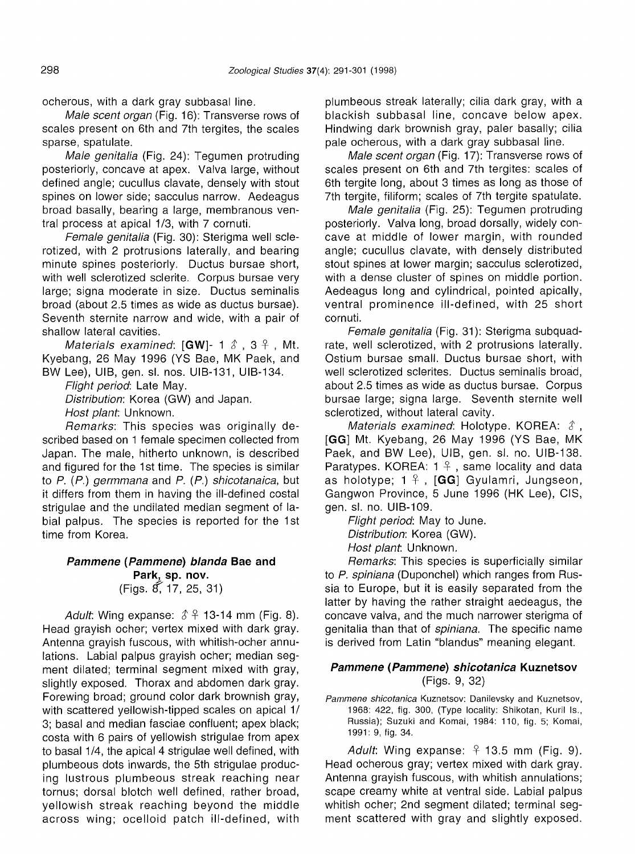ocherous, with a dark gray subbasal line.

Male scent organ (Fig. 16): Transverse rows of scales present on 6th and 7th tergites, the scales sparse, spatulate.

Male genitalia (Fig. 24): Tegumen protruding posteriorly, concave at apex. Valva large, without defined angle; cucullus clavate, densely with stout spines on lower side; sacculus narrow. Aedeagus broad basally, bearing a large, membranous ventral process at apical 1/3, with 7 cornuti.

Female genitalia (Fig. 30): Sterigma well sclerotized, with 2 protrusions laterally, and bearing minute spines posteriorly. Ductus bursae short, with well sclerotized sclerite. Corpus bursae very large; signa moderate in size. Ductus seminalis broad (about 2.5 times as wide as ductus bursae). Seventh sternite narrow and wide, with a pair of shallow lateral cavities.

*Materials examined*:  $[GW] - 1 \, \delta$ ,  $3 \, \beta$ , Mt. Kyebang, 26 May 1996 (YS Bae, MK Paek, and BW Lee), UIB, gen. sl. nos. UIB-131, UIB-134.

Flight period: Late May. Distribution: Korea (GW) and Japan. Host plant: Unknown.

Remarks: This species was originally described based on 1 female specimen collected from Japan. The male, hitherto unknown, is described and figured for the 1st time. The species is similar to  $P$ . ( $P$ .) germmana and  $P$ . ( $P$ .) shicotanaica, but it differs from them in having the ill-defined costal strigulae and the undilated median segment of labial palpus. The species is reported for the 1st time from Korea.

## **Pammene (Pammene) blanda Bae and Park, sp. nov.** (Figs. ff,17, 25, 31)

Adult: Wing expanse:  $\hat{\delta}$  <del>1</del> 13-14 mm (Fig. 8). Head grayish ocher; vertex mixed with dark gray. Antenna grayish fuscous, with whitish-ocher annulations. Labial palpus grayish ocher; median segment dilated; terminal segment mixed with gray, slightly exposed. Thorax and abdomen dark gray. Forewing broad; ground color dark brownish gray, with scattered yellowish-tipped scales on apical 1/ 3; basal and median fasciae confluent; apex black; costa with 6 pairs of yellowish strigulae from apex to basal 1/4, the apical 4 strigulae well defined, with plumbeous dots inwards, the 5th strigulae producing lustrous plumbeous streak reaching near tornus; dorsal blotch well defined, rather broad, yellowish streak reaching beyond the middle across wing; ocelloid patch ill-defined, with

plumbeous streak laterally; cilia dark gray, with a blackish subbasal line, concave below apex. Hindwing dark brownish gray, paler basally; cilia pale ocherous, with a dark gray subbasal line.

Male scent organ (Fig. 17): Transverse rows of scales present on 6th and 7th tergites: scales of 6th tergite long, about 3 times as long as those of 7th tergite, filiform; scales of 7th tergite spatulate.

Male genitalia (Fig. 25): Tegumen protruding posteriorly. Valva long, broad dorsally, widely concave at middle of lower margin, with rounded angle; cucullus clavate, with densely distributed stout spines at lower margin; sacculus sclerotized, with a dense cluster of spines on middle portion. Aedeagus long and cylindrical, pointed apically, ventral prominence ill-defined, with 25 short cornuti.

Female genitalia (Fig. 31): Sterigma subquadrate, well sclerotized, with 2 protrusions laterally. Ostium bursae small. Ductus bursae short, with well sclerotized sclerites. Ductus seminalis broad, about 2.5 times as wide as ductus bursae. Corpus bursae large; signa large. Seventh sternite well sclerotized, without lateral cavity.

Materials examined: Holotype. KOREA:  $\delta$ , **[GG]** Mt. Kyebang, 26 May 1996 (YS Bae, MK Paek, and BW Lee), UIB, gen. sl. no. UIB-138. Paratypes. KOREA:  $1 \nmid \cdot$ , same locality and data as holotype;  $1 \nmid \cdot$ , **[GG**] Gyulamri, Jungseon, Gangwon Province, 5 June 1996 (HK Lee), CIS, gen. sl. no. UIB-109.

Flight period: May to June. Distribution: Korea (GW). Host plant. Unknown.

Remarks: This species is superficially similar to P. spiniana (Duponchel) which ranges from Russia to Europe, but it is easily separated from the latter by having the rather straight aedeagus, the concave valva, and the much narrower sterigma of genitalia than that of spiniana. The specific name is derived from Latin "blandus" meaning elegant.

## **Pammene (Pammene) shicotanica Kuznetsov** (Figs. 9, 32)

Pammene shicotanica Kuznetsov: Danilevsky and Kuznetsov, 1968: 422, fig. 300, (Type locality: Shikotan, Kuril Is., Russia); Suzuki and Komai, 1984: 110, fig. 5; Komai, 1991: 9, fig. 34.

Adult: Wing expanse:  $9$  13.5 mm (Fig. 9). Head ocherous gray; vertex mixed with dark gray. Antenna grayish fuscous, with whitish annulations; scape creamy white at ventral side. Labial palpus whitish ocher; 2nd segment dilated; terminal segment scattered with gray and slightly exposed.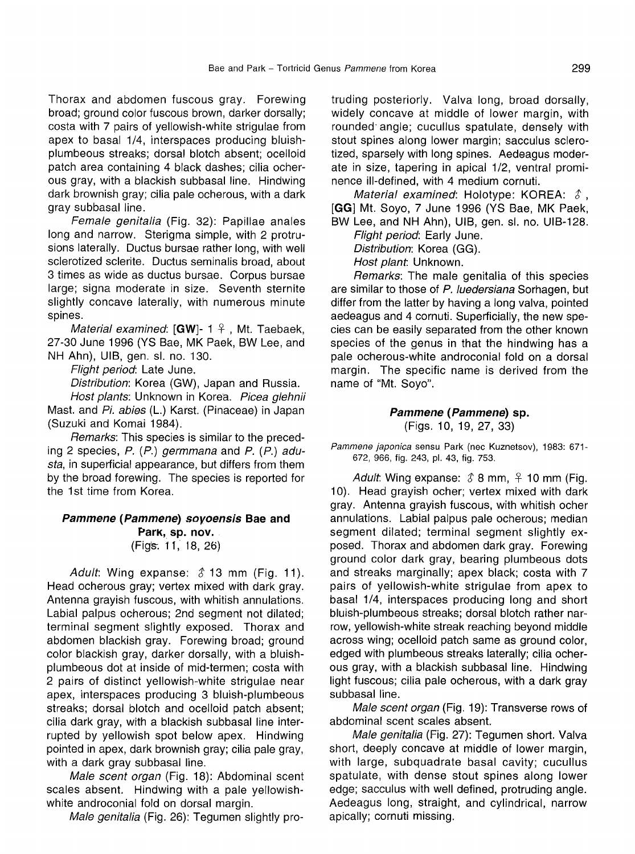Thorax and abdomen fuscous gray. Forewing broad; ground color fuscous brown, darker dorsally; costa with 7 pairs of yellowish-white strigulae from apex to basal 1/4, interspaces producing bluishplumbeous streaks; dorsal blotch absent; ocelloid patch area containing 4 black dashes; cilia ocherous gray, with a blackish subbasal line. Hindwing dark brownish gray; cilia pale ocherous, with a dark gray subbasal line.

Female genitalia (Fig. 32): Papillae anales long and narrow. Sterigma simple, with 2 protrusions laterally. Ductus bursae rather long, with well scierotized sclerite. Ductus seminalis broad, about 3 times as wide as ductus bursae. Corpus bursae large; signa moderate in size. Seventh sternite slightly concave laterally, with numerous minute spines.

Material examined:  $[GW]$ - 1  $\frac{1}{7}$ , Mt. Taebaek, 27-30 June 1996 (YS Bae, MK Paek, BW Lee, and NH Ahn), UIB, gen. sl. no. 130.

Flight period: Late June.

Distribution: Korea (GW), Japan and Russia.

Host plants: Unknown in Korea. Picea glehnii Mast. and Pi. abies (L.) Karst. (Pinaceae) in Japan (Suzuki and Komai 1984).

Remarks: This species is similar to the preceding 2 species, P. (P.) germmana and P. (P.) adusta, in superficial appearance, but differs from them by the broad forewing. The species is reported for the 1st time from Korea.

#### **Pammene (Pammene)** sovoensis **Bae and** Park, **sp. nov.** (FigS-. 1 T, 18, 26)

Adult: Wing expanse:  $\hat{\delta}$  13 mm (Fig. 11). Head ocherous gray; vertex mixed with dark gray. Antenna grayish fuscous, with whitish annulations. Labial palpus ocherous; 2nd segment not dilated; terminal segment slightly exposed. Thorax and abdomen blackish gray. Forewing broad; ground color blackish gray, darker dorsally, with a bluishplumbeous dot at inside of mid-termen; costa with 2 pairs of distinct yellowish-white strigulae near apex, interspaces producing 3 bluish-plumbeous streaks; dorsal blotch and ocelloid patch absent; cilia dark gray, with a blackish subbasal line interrupted by yellowish spot below apex. Hindwing pointed in apex, dark brownish gray; cilia pale gray, with a dark gray subbasal line.

Male scent organ (Fig. 18): Abdominal scent scales absent. Hindwing with a pale yellowishwhite androconial fold on dorsal margin.

Male genitalia (Fig. 26): Tegumen slightly pro-

truding posteriorly. Valva long, broad dorsally, widely concave at middle of lower margin, with rounded' angle; cucullus spatulate, densely with stout spines along lower margin; sacculus sclerotized, sparsely with long spines. Aedeagus moderate in size, tapering in apical 1/2, ventral prominence ill-defined, with 4 medium cornuti.

Material examined: Holotype: KOREA:  $\delta$ , [GG] Mt. Soyo, 7 June 1996 (YS Bae, MK Paek,

BW Lee, and NH Ahn), UIB, gen. sl. no. UIB-128. Flight period: Early June. Distribution: Korea (GG).

Host plant. Unknown.

Remarks: The male genitalia of this species are similar to those of P. luedersiana Sorhagen, but differ from the latter by having a long valva, pointed aedeagus and 4 cornuti. Superficially, the new species can be easily separated from the other known species of the genus in that the hindwing has a pale ocherous-white androconial fold on a dorsal margin. The specific name is derived from the name of "Mt. Soyo".

#### **Pammene (Pammene) sp.** (Figs. 10, 19, 27, 33)

Pammene japonica sensu Park (nec Kuznetsov), 1983: 671-672, 966, fig. 243, pI. 43, fig. 753.

Adult. Wing expanse:  $\hat{\delta}$  8 mm,  $\hat{\epsilon}$  10 mm (Fig. 10). Head grayish ocher; vertex mixed with dark gray. Antenna grayish fuscous, with whitish ocher annulations. Labial palpus pale ocherous; median segment dilated; terminal segment slightly exposed. Thorax and abdomen dark gray. Forewing ground color dark gray, bearing plumbeous dots and streaks marginally; apex black; costa with 7 pairs of yellowish-white strigulae from apex to basal 1/4, interspaces producing long and short bluish-plumbeous streaks; dorsal blotch rather narrow, yellowish-white streak reaching beyond middle across wing; ocelloid patch same as ground color, edged with plumbeous streaks laterally; cilia ocherous gray, with a blackish subbasal line. Hindwing light fuscous; cilia pale ocherous, with a dark gray subbasal line.

Male scent organ (Fig. 19): Transverse rows of abdominal scent scales absent.

Male genitalia (Fig. 27): Tegumen short. Valva short, deeply concave at middle of lower margin, with large, subquadrate basal cavity; cucullus spatulate, with dense stout spines along lower edge; sacculus with well defined, protruding angle. Aedeagus long, straight, and cylindrical, narrow apically; cornuti missing.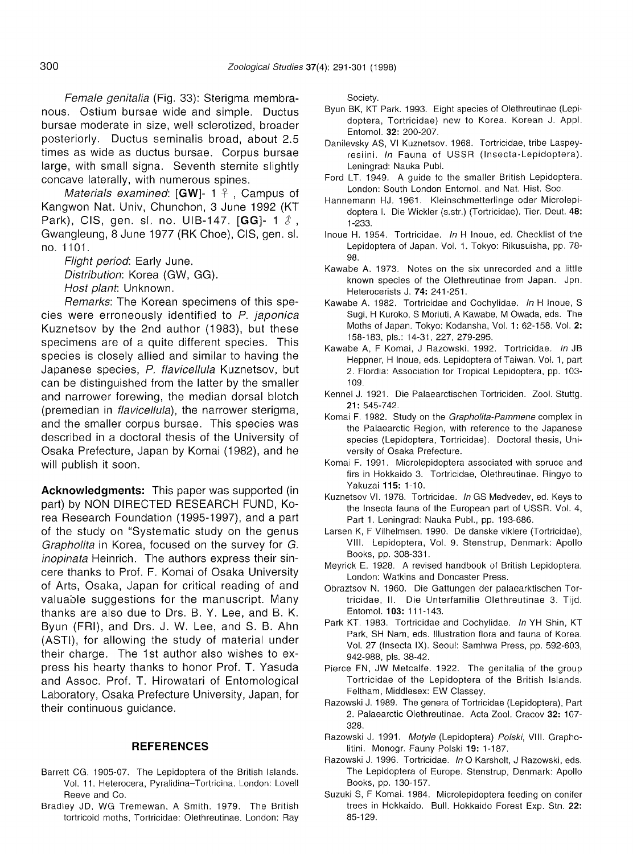Female genitalia (Fig. 33): Sterigma membranous. Ostium bursae wide and simple. Ductus bursae moderate in size, well sclerotized, broader posteriorly. Ductus seminalis broad, about 2.5 times as wide as ductus bursae. Corpus bursae large, with small signa. Seventh sternite slightly concave laterally, with numerous spines.

Materials examined:  $[GW]$ - 1  $\frac{1}{7}$ , Campus of Kangwon Nat. Univ, Chunchon, 3 June 1992 (KT Park), CIS, gen. sl. no. UIB-147. [GG]- 1  $\delta$ , Gwangleung, 8 June 1977 (RK Choe), CIS, gen. sl. no. 1101.

Flight period: Early June. Distribution: Korea (GW, GG). Host plant: Unknown.

Remarks: The Korean specimens of this species were erroneously identified to P. japonica Kuznetsov by the 2nd author (1983), but these specimens are of a quite different species. This species is closely allied and similar to having the Japanese species, P. flavicellula Kuznetsov, but can be distinguished from the latter by the smaller and narrower forewing, the median dorsal blotch (premedian in *flavicellula*), the narrower sterigma, and the smaller corpus bursae. This species was described in a doctoral thesis of the University of Osaka Prefecture, Japan by Komai (1982), and he will publish it soon.

**Acknowledgments:** This paper was supported (in part) by NON DIRECTED RESEARCH FUND, Korea Research Foundation (1995-1997), and a part of the study on "Systematic study on the genus Grapholita in Korea, focused on the survey for G. inopinata Heinrich. The authors express their sincere thanks to Prof. F. Komai of Osaka University of Arts, Osaka, Japan for critical reading of and valuable suggestions for the manuscript. Many thanks are also due to Drs. B. Y. Lee, and B. K. Byun (FRI), and Drs. J. W. Lee, and S. B. Ahn (ASTI), for allowing the study of material under their charge. The 1st author also wishes to express his hearty thanks to honor Prof. T. Yasuda and Assoc. Prof. T. Hirowatari of Entomological Laboratory, Osaka Prefecture University, Japan, for their continuous guidance.

#### **REFERENCES**

- Barrett CG. 1905-07. The Lepidoptera of the British Islands. Vol. 11. Heterocera, Pyralidina-Tortricina. London: Lovell Reeve and Co.
- Bradley JD, WG Tremewan, A Smith. 1979. The British tortricoid moths. Tortricidae: Olethreutinae. London: Ray

Society.

- Byun BK, KT Park. 1993. Eight species of Olethreutinae (Lepidoptera, Tortricidae) new to Korea. Korean J. Appl. Entomol. 32: 200-207.
- Danilevsky AS, VI Kuznetsov. 1968. Tortricidae, tribe Laspeyresiini. In Fauna of USSR (Insecta-Lepidoptera). Leningrad: Nauka Publ.
- Ford LT. 1949. A guide to the smaller British Lepidoptera. London: South London Entomol. and Nat. Hist. Soc.
- Hannemann HJ. 1961. Kleinschmetterlinge oder Microlepidoptera I. Die Wickler (s.str.) (Tortricidae). Tier. Deut. 48: 1-233.
- Inoue H. 1954. Tortricidae. In H Inoue, ed. Checklist of the Lepidoptera of Japan. Vol. 1. Tokyo: Rikusuisha, pp. 78- 98.
- Kawabe A. 1973. Notes on the six unrecorded and a little known species of the Olethreutinae from Japan. Jpn. Heterocerists J. 74: 241-251.
- Kawabe A. 1982. Tortricidae and Cochylidae. In H inoue, S Sugi, H Kuroko, S Moriuti, A Kawabe, M Owada, eds. The Moths of Japan. Tokyo: Kodansha, Vol. 1: 62-158. Vol. 2: 158-183, pis.: 14-31,227,279-295.
- Kawabe A, F Komai, J Razowski. 1992. Tortricidae. In JB Heppner, H Inoue, eds. Lepidoptera of Taiwan. Vol. 1, part 2. Flordia: Association for Tropical Lepidoptera, pp. 103- 109.
- Kennel J. 1921. Die Palaearctischen Tortriciden. Zool. Stuttg. 21: 545-742.
- Komai F. 1982. Study on the Grapholita-Pammene complex in the Palaearctic Region, with reference to the Japanese species (Lepidoptera, Tortricidae). Doctoral thesis, University of Osaka Prefecture.
- Komai F. 1991. Microlepidoptera associated with spruce and firs in Hokkaido 3. Tortricidae, Olethreutinae. Ringyo to Yakuzai 115: 1-10.
- Kuznetsov VI. 1978. Tortricidae. In GS Medvedev, ed. Keys to the Insecta fauna of the European part of USSR. Vol. 4, Part 1. Leningrad: Nauka Publ., pp. 193-686.
- Larsen K, F Vilhelmsen. 1990. De danske viklere (Tortricidae), VIII. Lepidoptera, Vol. 9. Stenstrup, Denmark: Apollo Books, pp. 308-331.
- Meyrick E. 1928. A revised handbook of British Lepidoptera. London: Watkins and Doncaster Press.
- Obraztsov N. 1960. Die Gattungen der palaearktischen Tortricidae, II. Die Unterfamilie Olethreutinae 3. Tijd. Entomol. 103: 111-143.
- Park KT. 1983. Tortricidae and Cochylidae. In YH Shin, KT Park, SH Nam, eds. Illustration flora and fauna of Korea. Vol. 27 (Insecta IX). Seoul: Samhwa Press, pp. 592-603, 942-988, pis. 38-42.
- Pierce FN, JW Metcalfe. 1922. The genitalia of the group Tortricidae of the Lepidoptera of the British Islands. Feltham, Middlesex: EW Classey.
- Razowski J. 1989. The genera of Tortricidae (Lepidoptera), Part 2. Palaearctic Olethreutinae. Acta Zool. Cracov 32: 107- 328.
- Razowski J. 1991. Motyle (Lepidoptera) Polski, VIII. Grapholitini. Monogr. Fauny Polski 19: 1-187.
- Razowski J. 1996. Tortricidae. In O Karsholt, J Razowski, eds. The Lepidoptera of Europe. Stenstrup, Denmark: Apollo Books, pp. 130-157.
- Suzuki S, F Komai. 1984. Microlepidoptera feeding on conifer trees in Hokkaido. Bull. Hokkaido Forest Exp. Stn. 22: 85-129.